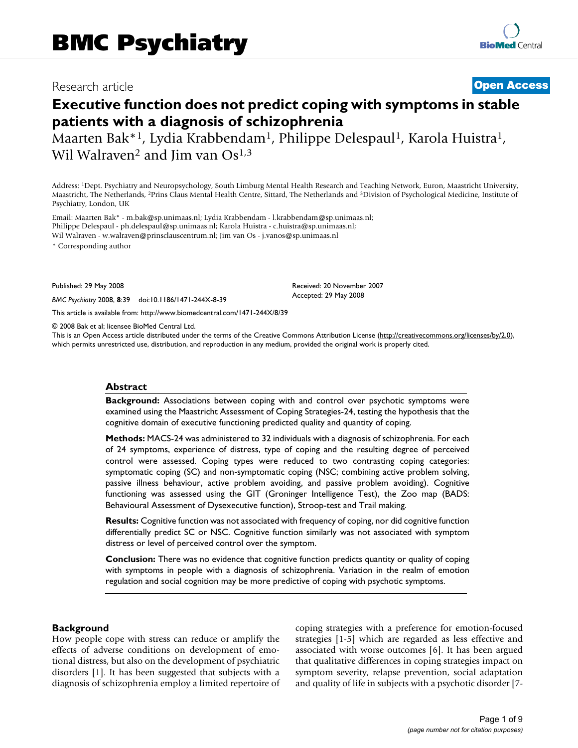# Research article **[Open Access](http://www.biomedcentral.com/info/about/charter/)**

# **Executive function does not predict coping with symptoms in stable patients with a diagnosis of schizophrenia**

Maarten Bak<sup>\*1</sup>, Lydia Krabbendam<sup>1</sup>, Philippe Delespaul<sup>1</sup>, Karola Huistra<sup>1</sup>, Wil Walraven<sup>2</sup> and Jim van  $Os<sup>1,3</sup>$ 

Address: 1Dept. Psychiatry and Neuropsychology, South Limburg Mental Health Research and Teaching Network, Euron, Maastricht University, Maastricht, The Netherlands, 2Prins Claus Mental Health Centre, Sittard, The Netherlands and 3Division of Psychological Medicine, Institute of Psychiatry, London, UK

Email: Maarten Bak\* - m.bak@sp.unimaas.nl; Lydia Krabbendam - l.krabbendam@sp.unimaas.nl; Philippe Delespaul - ph.delespaul@sp.unimaas.nl; Karola Huistra - c.huistra@sp.unimaas.nl; Wil Walraven - w.walraven@prinsclauscentrum.nl; Jim van Os - j.vanos@sp.unimaas.nl

\* Corresponding author

Published: 29 May 2008

*BMC Psychiatry* 2008, **8**:39 doi:10.1186/1471-244X-8-39

[This article is available from: http://www.biomedcentral.com/1471-244X/8/39](http://www.biomedcentral.com/1471-244X/8/39)

© 2008 Bak et al; licensee BioMed Central Ltd.

This is an Open Access article distributed under the terms of the Creative Commons Attribution License [\(http://creativecommons.org/licenses/by/2.0\)](http://creativecommons.org/licenses/by/2.0), which permits unrestricted use, distribution, and reproduction in any medium, provided the original work is properly cited.

Received: 20 November 2007 Accepted: 29 May 2008

# **Abstract**

**Background:** Associations between coping with and control over psychotic symptoms were examined using the Maastricht Assessment of Coping Strategies-24, testing the hypothesis that the cognitive domain of executive functioning predicted quality and quantity of coping.

**Methods:** MACS-24 was administered to 32 individuals with a diagnosis of schizophrenia. For each of 24 symptoms, experience of distress, type of coping and the resulting degree of perceived control were assessed. Coping types were reduced to two contrasting coping categories: symptomatic coping (SC) and non-symptomatic coping (NSC; combining active problem solving, passive illness behaviour, active problem avoiding, and passive problem avoiding). Cognitive functioning was assessed using the GIT (Groninger Intelligence Test), the Zoo map (BADS: Behavioural Assessment of Dysexecutive function), Stroop-test and Trail making.

**Results:** Cognitive function was not associated with frequency of coping, nor did cognitive function differentially predict SC or NSC. Cognitive function similarly was not associated with symptom distress or level of perceived control over the symptom.

**Conclusion:** There was no evidence that cognitive function predicts quantity or quality of coping with symptoms in people with a diagnosis of schizophrenia. Variation in the realm of emotion regulation and social cognition may be more predictive of coping with psychotic symptoms.

### **Background**

How people cope with stress can reduce or amplify the effects of adverse conditions on development of emotional distress, but also on the development of psychiatric disorders [1]. It has been suggested that subjects with a diagnosis of schizophrenia employ a limited repertoire of coping strategies with a preference for emotion-focused strategies [1-5] which are regarded as less effective and associated with worse outcomes [6]. It has been argued that qualitative differences in coping strategies impact on symptom severity, relapse prevention, social adaptation and quality of life in subjects with a psychotic disorder [7-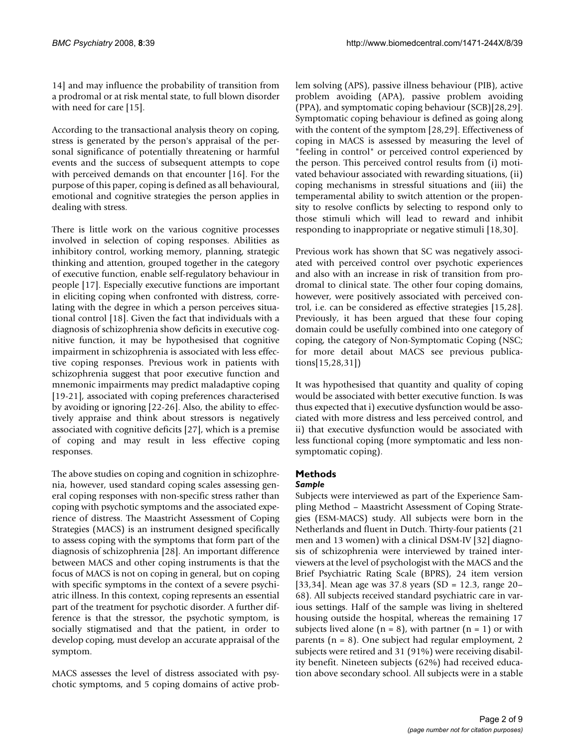14] and may influence the probability of transition from a prodromal or at risk mental state, to full blown disorder with need for care [15].

According to the transactional analysis theory on coping, stress is generated by the person's appraisal of the personal significance of potentially threatening or harmful events and the success of subsequent attempts to cope with perceived demands on that encounter [16]. For the purpose of this paper, coping is defined as all behavioural, emotional and cognitive strategies the person applies in dealing with stress.

There is little work on the various cognitive processes involved in selection of coping responses. Abilities as inhibitory control, working memory, planning, strategic thinking and attention, grouped together in the category of executive function, enable self-regulatory behaviour in people [17]. Especially executive functions are important in eliciting coping when confronted with distress, correlating with the degree in which a person perceives situational control [18]. Given the fact that individuals with a diagnosis of schizophrenia show deficits in executive cognitive function, it may be hypothesised that cognitive impairment in schizophrenia is associated with less effective coping responses. Previous work in patients with schizophrenia suggest that poor executive function and mnemonic impairments may predict maladaptive coping [19-21], associated with coping preferences characterised by avoiding or ignoring [22-26]. Also, the ability to effectively appraise and think about stressors is negatively associated with cognitive deficits [27], which is a premise of coping and may result in less effective coping responses.

The above studies on coping and cognition in schizophrenia, however, used standard coping scales assessing general coping responses with non-specific stress rather than coping with psychotic symptoms and the associated experience of distress. The Maastricht Assessment of Coping Strategies (MACS) is an instrument designed specifically to assess coping with the symptoms that form part of the diagnosis of schizophrenia [28]. An important difference between MACS and other coping instruments is that the focus of MACS is not on coping in general, but on coping with specific symptoms in the context of a severe psychiatric illness. In this context, coping represents an essential part of the treatment for psychotic disorder. A further difference is that the stressor, the psychotic symptom, is socially stigmatised and that the patient, in order to develop coping, must develop an accurate appraisal of the symptom.

MACS assesses the level of distress associated with psychotic symptoms, and 5 coping domains of active problem solving (APS), passive illness behaviour (PIB), active problem avoiding (APA), passive problem avoiding (PPA), and symptomatic coping behaviour (SCB)[28,29]. Symptomatic coping behaviour is defined as going along with the content of the symptom [28,29]. Effectiveness of coping in MACS is assessed by measuring the level of "feeling in control" or perceived control experienced by the person. This perceived control results from (i) motivated behaviour associated with rewarding situations, (ii) coping mechanisms in stressful situations and (iii) the temperamental ability to switch attention or the propensity to resolve conflicts by selecting to respond only to those stimuli which will lead to reward and inhibit responding to inappropriate or negative stimuli [18,30].

Previous work has shown that SC was negatively associated with perceived control over psychotic experiences and also with an increase in risk of transition from prodromal to clinical state. The other four coping domains, however, were positively associated with perceived control, i.e. can be considered as effective strategies [15,28]. Previously, it has been argued that these four coping domain could be usefully combined into one category of coping, the category of Non-Symptomatic Coping (NSC; for more detail about MACS see previous publications[15,28,31])

It was hypothesised that quantity and quality of coping would be associated with better executive function. Is was thus expected that i) executive dysfunction would be associated with more distress and less perceived control, and ii) that executive dysfunction would be associated with less functional coping (more symptomatic and less nonsymptomatic coping).

# **Methods**

# *Sample*

Subjects were interviewed as part of the Experience Sampling Method – Maastricht Assessment of Coping Strategies (ESM-MACS) study. All subjects were born in the Netherlands and fluent in Dutch. Thirty-four patients (21 men and 13 women) with a clinical DSM-IV [32] diagnosis of schizophrenia were interviewed by trained interviewers at the level of psychologist with the MACS and the Brief Psychiatric Rating Scale (BPRS), 24 item version [33,34]. Mean age was 37.8 years (SD = 12.3, range 20– 68). All subjects received standard psychiatric care in various settings. Half of the sample was living in sheltered housing outside the hospital, whereas the remaining 17 subjects lived alone  $(n = 8)$ , with partner  $(n = 1)$  or with parents (n = 8). One subject had regular employment, 2 subjects were retired and 31 (91%) were receiving disability benefit. Nineteen subjects (62%) had received education above secondary school. All subjects were in a stable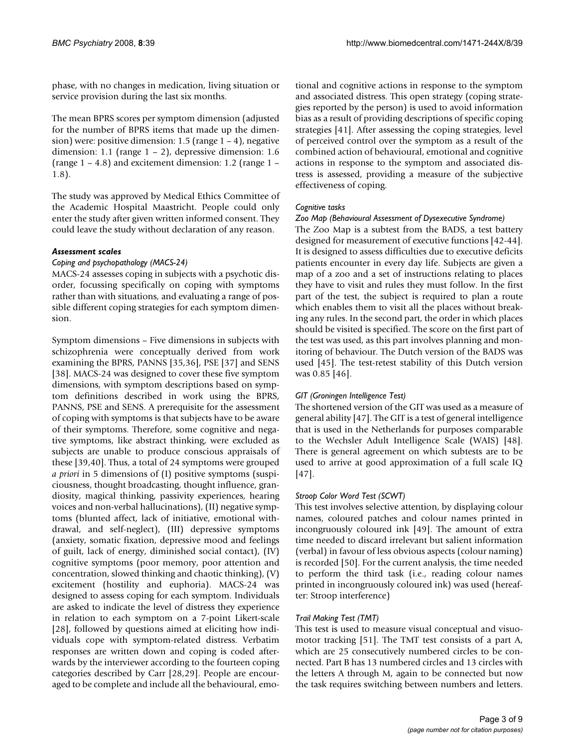phase, with no changes in medication, living situation or service provision during the last six months.

The mean BPRS scores per symptom dimension (adjusted for the number of BPRS items that made up the dimension) were: positive dimension: 1.5 (range  $1 - 4$ ), negative dimension: 1.1 (range 1 – 2), depressive dimension: 1.6 (range 1 – 4.8) and excitement dimension: 1.2 (range 1 – 1.8).

The study was approved by Medical Ethics Committee of the Academic Hospital Maastricht. People could only enter the study after given written informed consent. They could leave the study without declaration of any reason.

# *Assessment scales*

# *Coping and psychopathology (MACS-24)*

MACS-24 assesses coping in subjects with a psychotic disorder, focussing specifically on coping with symptoms rather than with situations, and evaluating a range of possible different coping strategies for each symptom dimension.

Symptom dimensions – Five dimensions in subjects with schizophrenia were conceptually derived from work examining the BPRS, PANNS [35,36], PSE [37] and SENS [38]. MACS-24 was designed to cover these five symptom dimensions, with symptom descriptions based on symptom definitions described in work using the BPRS, PANNS, PSE and SENS. A prerequisite for the assessment of coping with symptoms is that subjects have to be aware of their symptoms. Therefore, some cognitive and negative symptoms, like abstract thinking, were excluded as subjects are unable to produce conscious appraisals of these [39,40]. Thus, a total of 24 symptoms were grouped *a priori* in 5 dimensions of (I) positive symptoms (suspiciousness, thought broadcasting, thought influence, grandiosity, magical thinking, passivity experiences, hearing voices and non-verbal hallucinations), (II) negative symptoms (blunted affect, lack of initiative, emotional withdrawal, and self-neglect), (III) depressive symptoms (anxiety, somatic fixation, depressive mood and feelings of guilt, lack of energy, diminished social contact), (IV) cognitive symptoms (poor memory, poor attention and concentration, slowed thinking and chaotic thinking), (V) excitement (hostility and euphoria). MACS-24 was designed to assess coping for each symptom. Individuals are asked to indicate the level of distress they experience in relation to each symptom on a 7-point Likert-scale [28], followed by questions aimed at eliciting how individuals cope with symptom-related distress. Verbatim responses are written down and coping is coded afterwards by the interviewer according to the fourteen coping categories described by Carr [28,29]. People are encouraged to be complete and include all the behavioural, emotional and cognitive actions in response to the symptom and associated distress. This open strategy (coping strategies reported by the person) is used to avoid information bias as a result of providing descriptions of specific coping strategies [41]. After assessing the coping strategies, level of perceived control over the symptom as a result of the combined action of behavioural, emotional and cognitive actions in response to the symptom and associated distress is assessed, providing a measure of the subjective effectiveness of coping.

# *Cognitive tasks*

# *Zoo Map (Behavioural Assessment of Dysexecutive Syndrome)*

The Zoo Map is a subtest from the BADS, a test battery designed for measurement of executive functions [42-44]. It is designed to assess difficulties due to executive deficits patients encounter in every day life. Subjects are given a map of a zoo and a set of instructions relating to places they have to visit and rules they must follow. In the first part of the test, the subject is required to plan a route which enables them to visit all the places without breaking any rules. In the second part, the order in which places should be visited is specified. The score on the first part of the test was used, as this part involves planning and monitoring of behaviour. The Dutch version of the BADS was used [45]. The test-retest stability of this Dutch version was 0.85 [46].

# *GIT (Groningen Intelligence Test)*

The shortened version of the GIT was used as a measure of general ability [47]. The GIT is a test of general intelligence that is used in the Netherlands for purposes comparable to the Wechsler Adult Intelligence Scale (WAIS) [48]. There is general agreement on which subtests are to be used to arrive at good approximation of a full scale IQ [47].

# *Stroop Color Word Test (SCWT)*

This test involves selective attention, by displaying colour names, coloured patches and colour names printed in incongruously coloured ink [49]. The amount of extra time needed to discard irrelevant but salient information (verbal) in favour of less obvious aspects (colour naming) is recorded [50]. For the current analysis, the time needed to perform the third task (i.e., reading colour names printed in incongruously coloured ink) was used (hereafter: Stroop interference)

# *Trail Making Test (TMT)*

This test is used to measure visual conceptual and visuomotor tracking [51]. The TMT test consists of a part A, which are 25 consecutively numbered circles to be connected. Part B has 13 numbered circles and 13 circles with the letters A through M, again to be connected but now the task requires switching between numbers and letters.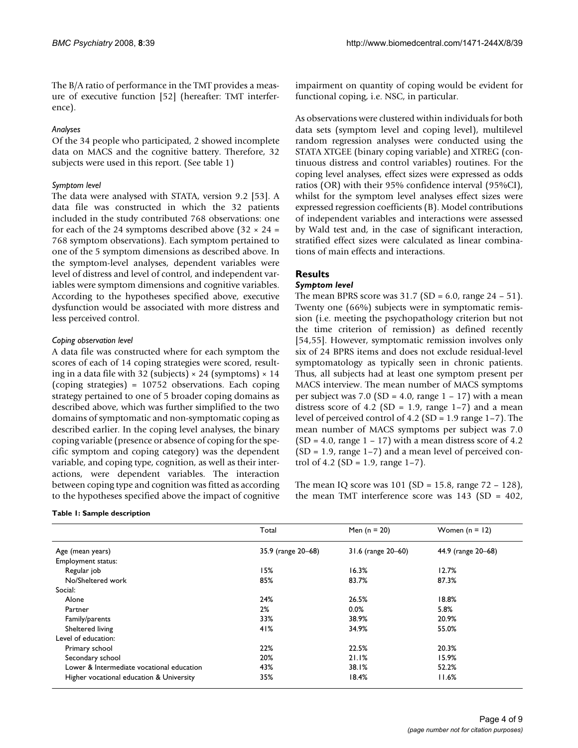The B/A ratio of performance in the TMT provides a measure of executive function [52] (hereafter: TMT interference).

# *Analyses*

Of the 34 people who participated, 2 showed incomplete data on MACS and the cognitive battery. Therefore, 32 subjects were used in this report. (See table 1)

# *Symptom level*

The data were analysed with STATA, version 9.2 [53]. A data file was constructed in which the 32 patients included in the study contributed 768 observations: one for each of the 24 symptoms described above  $(32 \times 24 =$ 768 symptom observations). Each symptom pertained to one of the 5 symptom dimensions as described above. In the symptom-level analyses, dependent variables were level of distress and level of control, and independent variables were symptom dimensions and cognitive variables. According to the hypotheses specified above, executive dysfunction would be associated with more distress and less perceived control.

# *Coping observation level*

A data file was constructed where for each symptom the scores of each of 14 coping strategies were scored, resulting in a data file with 32 (subjects)  $\times$  24 (symptoms)  $\times$  14 (coping strategies) = 10752 observations. Each coping strategy pertained to one of 5 broader coping domains as described above, which was further simplified to the two domains of symptomatic and non-symptomatic coping as described earlier. In the coping level analyses, the binary coping variable (presence or absence of coping for the specific symptom and coping category) was the dependent variable, and coping type, cognition, as well as their interactions, were dependent variables. The interaction between coping type and cognition was fitted as according to the hypotheses specified above the impact of cognitive

#### **Table 1: Sample description**

impairment on quantity of coping would be evident for functional coping, i.e. NSC, in particular.

As observations were clustered within individuals for both data sets (symptom level and coping level), multilevel random regression analyses were conducted using the STATA XTGEE (binary coping variable) and XTREG (continuous distress and control variables) routines. For the coping level analyses, effect sizes were expressed as odds ratios (OR) with their 95% confidence interval (95%CI), whilst for the symptom level analyses effect sizes were expressed regression coefficients (B). Model contributions of independent variables and interactions were assessed by Wald test and, in the case of significant interaction, stratified effect sizes were calculated as linear combinations of main effects and interactions.

# **Results**

#### *Symptom level*

The mean BPRS score was  $31.7$  (SD = 6.0, range  $24 - 51$ ). Twenty one (66%) subjects were in symptomatic remission (i.e. meeting the psychopathology criterion but not the time criterion of remission) as defined recently [54,55]. However, symptomatic remission involves only six of 24 BPRS items and does not exclude residual-level symptomatology as typically seen in chronic patients. Thus, all subjects had at least one symptom present per MACS interview. The mean number of MACS symptoms per subject was 7.0 (SD = 4.0, range  $1 - 17$ ) with a mean distress score of 4.2 (SD = 1.9, range  $1-7$ ) and a mean level of perceived control of 4.2 (SD = 1.9 range 1–7). The mean number of MACS symptoms per subject was 7.0  $(SD = 4.0$ , range  $1 - 17$ ) with a mean distress score of 4.2  $(SD = 1.9$ , range  $1-7$ ) and a mean level of perceived control of 4.2 (SD = 1.9, range  $1-7$ ).

The mean IQ score was  $101$  (SD = 15.8, range  $72 - 128$ ), the mean TMT interference score was  $143$  (SD =  $402$ ,

|                                           | Total              | Men $(n = 20)$     | Women $(n = 12)$   |
|-------------------------------------------|--------------------|--------------------|--------------------|
| Age (mean years)                          | 35.9 (range 20-68) | 31.6 (range 20-60) | 44.9 (range 20–68) |
| Employment status:                        |                    |                    |                    |
| Regular job                               | 15%                | 16.3%              | 12.7%              |
| No/Sheltered work                         | 85%                | 83.7%              | 87.3%              |
| Social:                                   |                    |                    |                    |
| Alone                                     | 24%                | 26.5%              | 18.8%              |
| Partner                                   | 2%                 | $0.0\%$            | 5.8%               |
| Family/parents                            | 33%                | 38.9%              | 20.9%              |
| Sheltered living                          | 41%                | 34.9%              | 55.0%              |
| Level of education:                       |                    |                    |                    |
| Primary school                            | 22%                | 22.5%              | 20.3%              |
| Secondary school                          | 20%                | 21.1%              | 15.9%              |
| Lower & Intermediate vocational education | 43%                | 38.1%              | 52.2%              |
| Higher vocational education & University  | 35%                | 18.4%              | 11.6%              |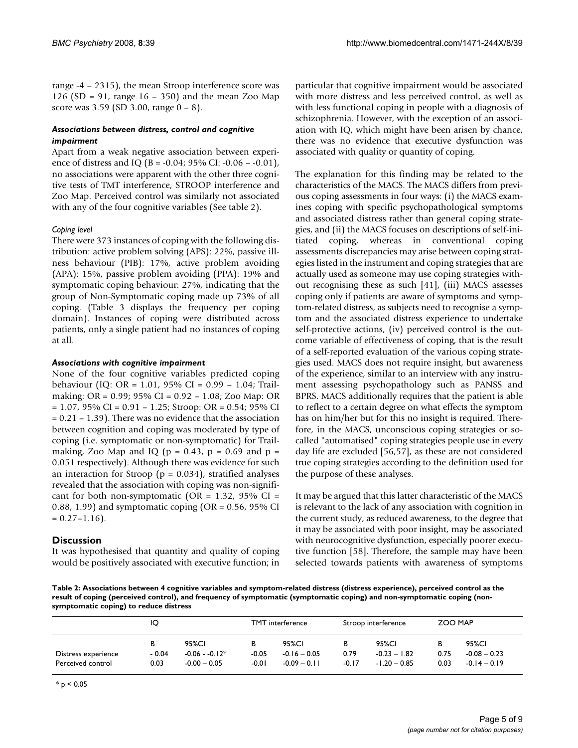range -4 – 2315), the mean Stroop interference score was 126 (SD = 91, range 16 – 350) and the mean Zoo Map score was 3.59 (SD 3.00, range 0 – 8).

# *Associations between distress, control and cognitive impairment*

Apart from a weak negative association between experience of distress and IQ (B = -0.04; 95% CI: -0.06 – -0.01), no associations were apparent with the other three cognitive tests of TMT interference, STROOP interference and Zoo Map. Perceived control was similarly not associated with any of the four cognitive variables (See table 2).

# *Coping level*

There were 373 instances of coping with the following distribution: active problem solving (APS): 22%, passive illness behaviour (PIB): 17%, active problem avoiding (APA): 15%, passive problem avoiding (PPA): 19% and symptomatic coping behaviour: 27%, indicating that the group of Non-Symptomatic coping made up 73% of all coping. (Table 3 displays the frequency per coping domain). Instances of coping were distributed across patients, only a single patient had no instances of coping at all.

# *Associations with cognitive impairment*

None of the four cognitive variables predicted coping behaviour (IQ: OR = 1.01, 95% CI = 0.99 – 1.04; Trailmaking: OR = 0.99; 95% CI = 0.92 – 1.08; Zoo Map: OR  $= 1.07$ , 95% CI  $= 0.91 - 1.25$ ; Stroop: OR  $= 0.54$ ; 95% CI  $= 0.21 - 1.39$ ). There was no evidence that the association between cognition and coping was moderated by type of coping (i.e. symptomatic or non-symptomatic) for Trailmaking, Zoo Map and IQ ( $p = 0.43$ ,  $p = 0.69$  and  $p =$ 0.051 respectively). Although there was evidence for such an interaction for Stroop ( $p = 0.034$ ), stratified analyses revealed that the association with coping was non-significant for both non-symptomatic ( $OR = 1.32$ ,  $95\% \text{ CI} =$ 0.88, 1.99) and symptomatic coping (OR = 0.56, 95% CI  $= 0.27 - 1.16$ .

# **Discussion**

It was hypothesised that quantity and quality of coping would be positively associated with executive function; in particular that cognitive impairment would be associated with more distress and less perceived control, as well as with less functional coping in people with a diagnosis of schizophrenia. However, with the exception of an association with IQ, which might have been arisen by chance, there was no evidence that executive dysfunction was associated with quality or quantity of coping.

The explanation for this finding may be related to the characteristics of the MACS. The MACS differs from previous coping assessments in four ways: (i) the MACS examines coping with specific psychopathological symptoms and associated distress rather than general coping strategies, and (ii) the MACS focuses on descriptions of self-initiated coping, whereas in conventional coping assessments discrepancies may arise between coping strategies listed in the instrument and coping strategies that are actually used as someone may use coping strategies without recognising these as such [41], (iii) MACS assesses coping only if patients are aware of symptoms and symptom-related distress, as subjects need to recognise a symptom and the associated distress experience to undertake self-protective actions, (iv) perceived control is the outcome variable of effectiveness of coping, that is the result of a self-reported evaluation of the various coping strategies used. MACS does not require insight, but awareness of the experience, similar to an interview with any instrument assessing psychopathology such as PANSS and BPRS. MACS additionally requires that the patient is able to reflect to a certain degree on what effects the symptom has on him/her but for this no insight is required. Therefore, in the MACS, unconscious coping strategies or socalled "automatised" coping strategies people use in every day life are excluded [56,57], as these are not considered true coping strategies according to the definition used for the purpose of these analyses.

It may be argued that this latter characteristic of the MACS is relevant to the lack of any association with cognition in the current study, as reduced awareness, to the degree that it may be associated with poor insight, may be associated with neurocognitive dysfunction, especially poorer executive function [58]. Therefore, the sample may have been selected towards patients with awareness of symptoms

**Table 2: Associations between 4 cognitive variables and symptom-related distress (distress experience), perceived control as the result of coping (perceived control), and frequency of symptomatic (symptomatic coping) and non-symptomatic coping (nonsymptomatic coping) to reduce distress**

|                                          | IQ              |                                            | <b>TMT</b> interference |                                           | Stroop interference |                                           |                   | <b>ZOO MAP</b>                            |  |
|------------------------------------------|-----------------|--------------------------------------------|-------------------------|-------------------------------------------|---------------------|-------------------------------------------|-------------------|-------------------------------------------|--|
| Distress experience<br>Perceived control | $-0.04$<br>0.03 | 95%CI<br>$-0.06 - 0.12*$<br>$-0.00 - 0.05$ | в<br>$-0.05$<br>$-0.01$ | 95%CI<br>$-0.16 - 0.05$<br>$-0.09 - 0.11$ | 0.79<br>$-0.17$     | 95%CI<br>$-0.23 - 1.82$<br>$-1.20 - 0.85$ | в<br>0.75<br>0.03 | 95%CI<br>$-0.08 - 0.23$<br>$-0.14 - 0.19$ |  |

 $*$  p < 0.05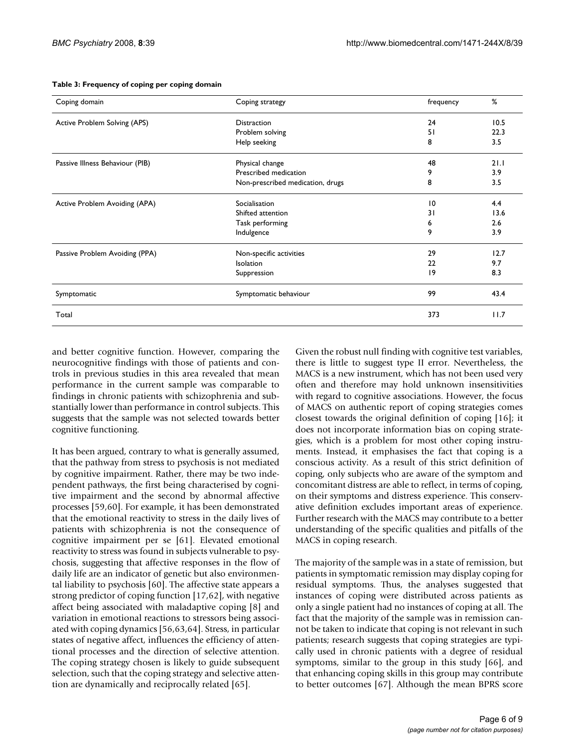| Coping domain                   | Coping strategy                  | frequency       | %    |
|---------------------------------|----------------------------------|-----------------|------|
| Active Problem Solving (APS)    | Distraction                      | 24              | 10.5 |
|                                 | Problem solving                  | 51              | 22.3 |
|                                 | Help seeking                     | 8               | 3.5  |
| Passive Illness Behaviour (PIB) | Physical change                  | 48              | 21.1 |
|                                 | Prescribed medication            | 9               | 3.9  |
|                                 | Non-prescribed medication, drugs | 8               | 3.5  |
| Active Problem Avoiding (APA)   | Socialisation                    | $\overline{10}$ | 4.4  |
|                                 | Shifted attention                | 31              | 13.6 |
|                                 | Task performing                  | 6               | 2.6  |
|                                 | Indulgence                       | 9               | 3.9  |
| Passive Problem Avoiding (PPA)  | Non-specific activities          | 29              | 12.7 |
|                                 | Isolation                        | 22              | 9.7  |
|                                 | Suppression                      | 19              | 8.3  |
| Symptomatic                     | Symptomatic behaviour            | 99              | 43.4 |
| Total                           |                                  | 373             | 11.7 |

#### **Table 3: Frequency of coping per coping domain**

and better cognitive function. However, comparing the neurocognitive findings with those of patients and controls in previous studies in this area revealed that mean performance in the current sample was comparable to findings in chronic patients with schizophrenia and substantially lower than performance in control subjects. This suggests that the sample was not selected towards better cognitive functioning.

It has been argued, contrary to what is generally assumed, that the pathway from stress to psychosis is not mediated by cognitive impairment. Rather, there may be two independent pathways, the first being characterised by cognitive impairment and the second by abnormal affective processes [59,60]. For example, it has been demonstrated that the emotional reactivity to stress in the daily lives of patients with schizophrenia is not the consequence of cognitive impairment per se [61]. Elevated emotional reactivity to stress was found in subjects vulnerable to psychosis, suggesting that affective responses in the flow of daily life are an indicator of genetic but also environmental liability to psychosis [60]. The affective state appears a strong predictor of coping function [17,62], with negative affect being associated with maladaptive coping [8] and variation in emotional reactions to stressors being associated with coping dynamics [56,63,64]. Stress, in particular states of negative affect, influences the efficiency of attentional processes and the direction of selective attention. The coping strategy chosen is likely to guide subsequent selection, such that the coping strategy and selective attention are dynamically and reciprocally related [65].

Given the robust null finding with cognitive test variables, there is little to suggest type II error. Nevertheless, the MACS is a new instrument, which has not been used very often and therefore may hold unknown insensitivities with regard to cognitive associations. However, the focus of MACS on authentic report of coping strategies comes closest towards the original definition of coping [16]; it does not incorporate information bias on coping strategies, which is a problem for most other coping instruments. Instead, it emphasises the fact that coping is a conscious activity. As a result of this strict definition of coping, only subjects who are aware of the symptom and concomitant distress are able to reflect, in terms of coping, on their symptoms and distress experience. This conservative definition excludes important areas of experience. Further research with the MACS may contribute to a better understanding of the specific qualities and pitfalls of the MACS in coping research.

The majority of the sample was in a state of remission, but patients in symptomatic remission may display coping for residual symptoms. Thus, the analyses suggested that instances of coping were distributed across patients as only a single patient had no instances of coping at all. The fact that the majority of the sample was in remission cannot be taken to indicate that coping is not relevant in such patients; research suggests that coping strategies are typically used in chronic patients with a degree of residual symptoms, similar to the group in this study [66], and that enhancing coping skills in this group may contribute to better outcomes [67]. Although the mean BPRS score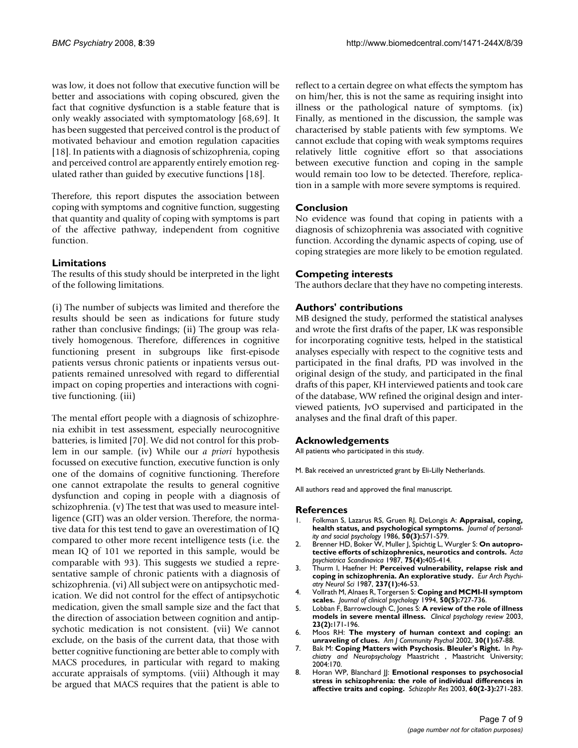was low, it does not follow that executive function will be better and associations with coping obscured, given the fact that cognitive dysfunction is a stable feature that is only weakly associated with symptomatology [68,69]. It has been suggested that perceived control is the product of motivated behaviour and emotion regulation capacities [18]. In patients with a diagnosis of schizophrenia, coping and perceived control are apparently entirely emotion regulated rather than guided by executive functions [18].

Therefore, this report disputes the association between coping with symptoms and cognitive function, suggesting that quantity and quality of coping with symptoms is part of the affective pathway, independent from cognitive function.

# **Limitations**

The results of this study should be interpreted in the light of the following limitations.

(i) The number of subjects was limited and therefore the results should be seen as indications for future study rather than conclusive findings; (ii) The group was relatively homogenous. Therefore, differences in cognitive functioning present in subgroups like first-episode patients versus chronic patients or inpatients versus outpatients remained unresolved with regard to differential impact on coping properties and interactions with cognitive functioning. (iii)

The mental effort people with a diagnosis of schizophrenia exhibit in test assessment, especially neurocognitive batteries, is limited [70]. We did not control for this problem in our sample. (iv) While our *a priori* hypothesis focussed on executive function, executive function is only one of the domains of cognitive functioning. Therefore one cannot extrapolate the results to general cognitive dysfunction and coping in people with a diagnosis of schizophrenia. (v) The test that was used to measure intelligence (GIT) was an older version. Therefore, the normative data for this test tend to gave an overestimation of IQ compared to other more recent intelligence tests (i.e. the mean IQ of 101 we reported in this sample, would be comparable with 93). This suggests we studied a representative sample of chronic patients with a diagnosis of schizophrenia. (vi) All subject were on antipsychotic medication. We did not control for the effect of antipsychotic medication, given the small sample size and the fact that the direction of association between cognition and antipsychotic medication is not consistent. (vii) We cannot exclude, on the basis of the current data, that those with better cognitive functioning are better able to comply with MACS procedures, in particular with regard to making accurate appraisals of symptoms. (viii) Although it may be argued that MACS requires that the patient is able to

reflect to a certain degree on what effects the symptom has on him/her, this is not the same as requiring insight into illness or the pathological nature of symptoms. (ix) Finally, as mentioned in the discussion, the sample was characterised by stable patients with few symptoms. We cannot exclude that coping with weak symptoms requires relatively little cognitive effort so that associations between executive function and coping in the sample would remain too low to be detected. Therefore, replication in a sample with more severe symptoms is required.

# **Conclusion**

No evidence was found that coping in patients with a diagnosis of schizophrenia was associated with cognitive function. According the dynamic aspects of coping, use of coping strategies are more likely to be emotion regulated.

### **Competing interests**

The authors declare that they have no competing interests.

# **Authors' contributions**

MB designed the study, performed the statistical analyses and wrote the first drafts of the paper, LK was responsible for incorporating cognitive tests, helped in the statistical analyses especially with respect to the cognitive tests and participated in the final drafts, PD was involved in the original design of the study, and participated in the final drafts of this paper, KH interviewed patients and took care of the database, WW refined the original design and interviewed patients, JvO supervised and participated in the analyses and the final draft of this paper.

### **Acknowledgements**

All patients who participated in this study.

M. Bak received an unrestricted grant by Eli-Lilly Netherlands.

All authors read and approved the final manuscript.

#### **References**

- 1. Folkman S, Lazarus RS, Gruen RJ, DeLongis A: **Appraisal, coping, health status, and psychological symptoms.** *Journal of personality and social psychology* 1986, **50(3):**571-579.
- 2. Brenner HD, Boker W, Muller J, Spichtig L, Wurgler S: **[On autopro](http://www.ncbi.nlm.nih.gov/entrez/query.fcgi?cmd=Retrieve&db=PubMed&dopt=Abstract&list_uids=3591422)[tective efforts of schizophrenics, neurotics and controls.](http://www.ncbi.nlm.nih.gov/entrez/query.fcgi?cmd=Retrieve&db=PubMed&dopt=Abstract&list_uids=3591422)** *Acta psychiatrica Scandinavica* 1987, **75(4):**405-414.
- 3. Thurm I, Haefner H: **[Perceived vulnerability, relapse risk and](http://www.ncbi.nlm.nih.gov/entrez/query.fcgi?cmd=Retrieve&db=PubMed&dopt=Abstract&list_uids=3428316) [coping in schizophrenia. An explorative study.](http://www.ncbi.nlm.nih.gov/entrez/query.fcgi?cmd=Retrieve&db=PubMed&dopt=Abstract&list_uids=3428316)** *Eur Arch Psychiatry Neurol Sci* 1987, **237(1):**46-53.
- 4. Vollrath M, Alnaes R, Torgersen S: **[Coping and MCMI-II symptom](http://www.ncbi.nlm.nih.gov/entrez/query.fcgi?cmd=Retrieve&db=PubMed&dopt=Abstract&list_uids=7806650) [scales.](http://www.ncbi.nlm.nih.gov/entrez/query.fcgi?cmd=Retrieve&db=PubMed&dopt=Abstract&list_uids=7806650)** *Journal of clinical psychology* 1994, **50(5):**727-736.
- 5. Lobban F, Barrowclough C, Jones S: **[A review of the role of illness](http://www.ncbi.nlm.nih.gov/entrez/query.fcgi?cmd=Retrieve&db=PubMed&dopt=Abstract&list_uids=12573669) [models in severe mental illness.](http://www.ncbi.nlm.nih.gov/entrez/query.fcgi?cmd=Retrieve&db=PubMed&dopt=Abstract&list_uids=12573669)** *Clinical psychology review* 2003, **23(2):**171-196.
- 6. Moos RH: **[The mystery of human context and coping: an](http://www.ncbi.nlm.nih.gov/entrez/query.fcgi?cmd=Retrieve&db=PubMed&dopt=Abstract&list_uids=11928778) [unraveling of clues.](http://www.ncbi.nlm.nih.gov/entrez/query.fcgi?cmd=Retrieve&db=PubMed&dopt=Abstract&list_uids=11928778)** *Am J Community Psychol* 2002, **30(1):**67-88.
- 7. Bak M: **Coping Matters with Psychosis. Bleuler's Right.** In *Psychiatry and Neuropsychology* Maastricht , Maastricht University; 2004:170.
- 8. Horan WP, Blanchard JJ: **[Emotional responses to psychosocial](http://www.ncbi.nlm.nih.gov/entrez/query.fcgi?cmd=Retrieve&db=PubMed&dopt=Abstract&list_uids=12591589) [stress in schizophrenia: the role of individual differences in](http://www.ncbi.nlm.nih.gov/entrez/query.fcgi?cmd=Retrieve&db=PubMed&dopt=Abstract&list_uids=12591589) [affective traits and coping.](http://www.ncbi.nlm.nih.gov/entrez/query.fcgi?cmd=Retrieve&db=PubMed&dopt=Abstract&list_uids=12591589)** *Schizophr Res* 2003, **60(2-3):**271-283.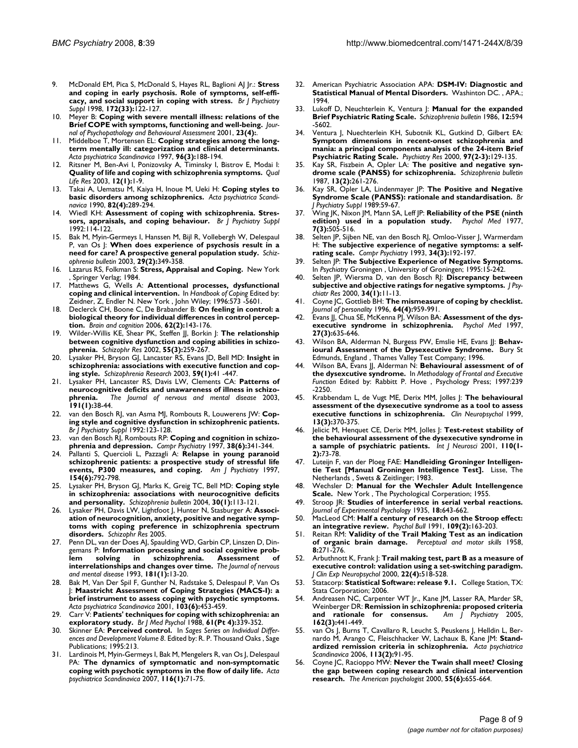- 9. McDonald EM, Pica S, McDonald S, Hayes RL, Baglioni AJ Jr.: **[Stress](http://www.ncbi.nlm.nih.gov/entrez/query.fcgi?cmd=Retrieve&db=PubMed&dopt=Abstract&list_uids=9764138) [and coping in early psychosis. Role of symptoms, self-effi](http://www.ncbi.nlm.nih.gov/entrez/query.fcgi?cmd=Retrieve&db=PubMed&dopt=Abstract&list_uids=9764138)[cacy, and social support in coping with stress.](http://www.ncbi.nlm.nih.gov/entrez/query.fcgi?cmd=Retrieve&db=PubMed&dopt=Abstract&list_uids=9764138)** *Br J Psychiatry Suppl* 1998, **172(33):**122-127.
- 10. Meyer B: **Coping with severe mentall illness: relations of the Brief COPE with symptoms, functioning and well-being.** *Journal of Psychopathology and Behavioural Assessment* 2001, **23(4):**.
- 11. Middelboe T, Mortensen EL: **[Coping strategies among the long](http://www.ncbi.nlm.nih.gov/entrez/query.fcgi?cmd=Retrieve&db=PubMed&dopt=Abstract&list_uids=9296549)[term mentally ill: categorization and clinical determinants.](http://www.ncbi.nlm.nih.gov/entrez/query.fcgi?cmd=Retrieve&db=PubMed&dopt=Abstract&list_uids=9296549)** *Acta psychiatrica Scandinavica* 1997, **96(3):**188-194.
- 12. Ritsner M, Ben-Avi I, Ponizovsky A, Timinsky I, Bistrov E, Modai I: **[Quality of life and coping with schizophrenia symptoms.](http://www.ncbi.nlm.nih.gov/entrez/query.fcgi?cmd=Retrieve&db=PubMed&dopt=Abstract&list_uids=12625513)** *Qual Life Res* 2003, **12(1):**1-9.
- 13. Takai A, Uematsu M, Kaiya H, Inoue M, Ueki H: **[Coping styles to](http://www.ncbi.nlm.nih.gov/entrez/query.fcgi?cmd=Retrieve&db=PubMed&dopt=Abstract&list_uids=2260481) [basic disorders among schizophrenics.](http://www.ncbi.nlm.nih.gov/entrez/query.fcgi?cmd=Retrieve&db=PubMed&dopt=Abstract&list_uids=2260481)** *Acta psychiatrica Scandinavica* 1990, **82(4):**289-294.
- Wiedl KH: [Assessment of coping with schizophrenia. Stres](http://www.ncbi.nlm.nih.gov/entrez/query.fcgi?cmd=Retrieve&db=PubMed&dopt=Abstract&list_uids=1389034)**[sors, appraisals, and coping behaviour.](http://www.ncbi.nlm.nih.gov/entrez/query.fcgi?cmd=Retrieve&db=PubMed&dopt=Abstract&list_uids=1389034)** *Br J Psychiatry Suppl* 1992:114-122.
- 15. Bak M, Myin-Germeys I, Hanssen M, Bijl R, Vollebergh W, Delespaul P, van Os J: **[When does experience of psychosis result in a](http://www.ncbi.nlm.nih.gov/entrez/query.fcgi?cmd=Retrieve&db=PubMed&dopt=Abstract&list_uids=14552509) [need for care? A prospective general population study.](http://www.ncbi.nlm.nih.gov/entrez/query.fcgi?cmd=Retrieve&db=PubMed&dopt=Abstract&list_uids=14552509)** *Schizophrenia bulletin* 2003, **29(2):**349-358.
- 16. Lazarus RS, Folkman S: **Stress, Appraisal and Coping.** New York , Springer Verlag; 1984.
- 17. Matthews G, Wells A: **Attentional processes, dysfunctional coping and clinical intervention.** In *Handbook of Coping* Edited by: Zeidner, Z, Endler N. New York , John Wiley; 1996:573 -5601.
- 18. Declerck CH, Boone C, De Brabander B: **On feeling in control: a biological theory for individual differences in control perception.** *Brain and cognition* 2006, **62(2):**143-176.
- 19. Wilder-Willis KE, Shear PK, Steffen JJ, Borkin J: **[The relationship](http://www.ncbi.nlm.nih.gov/entrez/query.fcgi?cmd=Retrieve&db=PubMed&dopt=Abstract&list_uids=12048149) [between cognitive dysfunction and coping abilities in schizo](http://www.ncbi.nlm.nih.gov/entrez/query.fcgi?cmd=Retrieve&db=PubMed&dopt=Abstract&list_uids=12048149)[phrenia.](http://www.ncbi.nlm.nih.gov/entrez/query.fcgi?cmd=Retrieve&db=PubMed&dopt=Abstract&list_uids=12048149)** *Schizophr Res* 2002, **55(3):**259-267.
- 20. Lysaker PH, Bryson GJ, Lancaster RS, Evans JD, Bell MD: **[Insight in](http://www.ncbi.nlm.nih.gov/entrez/query.fcgi?cmd=Retrieve&db=PubMed&dopt=Abstract&list_uids=12413641) [schizophrenia: associations with executive function and cop](http://www.ncbi.nlm.nih.gov/entrez/query.fcgi?cmd=Retrieve&db=PubMed&dopt=Abstract&list_uids=12413641)[ing style.](http://www.ncbi.nlm.nih.gov/entrez/query.fcgi?cmd=Retrieve&db=PubMed&dopt=Abstract&list_uids=12413641)** *Schizophrenia Research* 2003, **59(1):**41 -447.
- 21. Lysaker PH, Lancaster RS, Davis LW, Clements CA: **Patterns of** neurocognitive deficits and unawareness of illness in schizo-<br>phrenia. The *Journal of nervous and mental disease* 2003, **phrenia.** *The Journal of nervous and mental disease* 2003, **191(1):**38-44.
- 22. van den Bosch RJ, van Asma MJ, Rombouts R, Louwerens JW: **[Cop](http://www.ncbi.nlm.nih.gov/entrez/query.fcgi?cmd=Retrieve&db=PubMed&dopt=Abstract&list_uids=1389035)[ing style and cognitive dysfunction in schizophrenic patients.](http://www.ncbi.nlm.nih.gov/entrez/query.fcgi?cmd=Retrieve&db=PubMed&dopt=Abstract&list_uids=1389035)** *Br J Psychiatry Suppl* 1992:123-128.
- 23. van den Bosch RJ, Rombouts RP: **[Coping and cognition in schizo](http://www.ncbi.nlm.nih.gov/entrez/query.fcgi?cmd=Retrieve&db=PubMed&dopt=Abstract&list_uids=9406740)[phrenia and depression.](http://www.ncbi.nlm.nih.gov/entrez/query.fcgi?cmd=Retrieve&db=PubMed&dopt=Abstract&list_uids=9406740)** *Compr Psychiatry* 1997, **38(6):**341-344.
- 24. Pallanti S, Quercioli L, Pazzagli A: **[Relapse in young paranoid](http://www.ncbi.nlm.nih.gov/entrez/query.fcgi?cmd=Retrieve&db=PubMed&dopt=Abstract&list_uids=9167506) [schizophrenic patients: a prospective study of stressful life](http://www.ncbi.nlm.nih.gov/entrez/query.fcgi?cmd=Retrieve&db=PubMed&dopt=Abstract&list_uids=9167506) [events, P300 measures, and coping.](http://www.ncbi.nlm.nih.gov/entrez/query.fcgi?cmd=Retrieve&db=PubMed&dopt=Abstract&list_uids=9167506)** *Am J Psychiatry* 1997, **154(6):**792-798.
- 25. Lysaker PH, Bryson GJ, Marks K, Greig TC, Bell MD: **[Coping style](http://www.ncbi.nlm.nih.gov/entrez/query.fcgi?cmd=Retrieve&db=PubMed&dopt=Abstract&list_uids=15176766) [in schizophrenia: associations with neurocognitive deficits](http://www.ncbi.nlm.nih.gov/entrez/query.fcgi?cmd=Retrieve&db=PubMed&dopt=Abstract&list_uids=15176766) [and personality.](http://www.ncbi.nlm.nih.gov/entrez/query.fcgi?cmd=Retrieve&db=PubMed&dopt=Abstract&list_uids=15176766)** *Schizophrenia bulletin* 2004, **30(1):**113-121.
- 26. Lysaker PH, Davis LW, Lightfoot J, Hunter N, Stasburger A: **Association of neurocognition, anxiety, positive and negative symptoms with coping preference in schizophrenia spectrum disorders.** *Schizophr Res* 2005.
- 27. Penn DL, van der Does AJ, Spaulding WD, Garbin CP, Linszen D, Dingemans P: **Information processing and social cognitive problem solving in schizophrenia. Assessment of interrelationships and changes over time.** *The Journal of nervous and mental disease* 1993, **181(1):**13-20.
- 28. Bak M, Van Der Spil F, Gunther N, Radstake S, Delespaul P, Van Os J: **[Maastricht Assessment of Coping Strategies \(MACS-I\): a](http://www.ncbi.nlm.nih.gov/entrez/query.fcgi?cmd=Retrieve&db=PubMed&dopt=Abstract&list_uids=11401660) [brief instrument to assess coping with psychotic symptoms.](http://www.ncbi.nlm.nih.gov/entrez/query.fcgi?cmd=Retrieve&db=PubMed&dopt=Abstract&list_uids=11401660)** *Acta psychiatrica Scandinavica* 2001, **103(6):**453-459.
- 29. Carr V: **[Patients' techniques for coping with schizophrenia: an](http://www.ncbi.nlm.nih.gov/entrez/query.fcgi?cmd=Retrieve&db=PubMed&dopt=Abstract&list_uids=3207636) [exploratory study.](http://www.ncbi.nlm.nih.gov/entrez/query.fcgi?cmd=Retrieve&db=PubMed&dopt=Abstract&list_uids=3207636)** *Br J Med Psychol* 1988, **61(Pt 4):**339-352.
- 30. Skinner EA: **Perceived control.** In *Sages Series on Individual Differences and Development Volume 8*. Edited by: R. P. Thousand Oaks , Sage Publications; 1995:213.
- Lardinois M, Myin-Germeys I, Bak M, Mengelers R, van Os J, Delespaul PA: **[The dynamics of symptomatic and non-symptomatic](http://www.ncbi.nlm.nih.gov/entrez/query.fcgi?cmd=Retrieve&db=PubMed&dopt=Abstract&list_uids=17559603) [coping with psychotic symptoms in the flow of daily life.](http://www.ncbi.nlm.nih.gov/entrez/query.fcgi?cmd=Retrieve&db=PubMed&dopt=Abstract&list_uids=17559603)** *Acta psychiatrica Scandinavica* 2007, **116(1):**71-75.
- 32. American Psychiatric Association APA: **DSM-IV: Diagnostic and Statistical Manual of Mental Disorders.** Washinton DC. , APA.; 1994.
- 33. Lukoff D, Neuchterlein K, Ventura J: **Manual for the expanded Brief Psychiatric Rating Scale.** *Schizophrenia bulletin* 1986, **12:**594 -5602.
- 34. Ventura J, Nuechterlein KH, Subotnik KL, Gutkind D, Gilbert EA: **Symptom dimensions in recent-onset schizophrenia and [mania: a principal components analysis of the 24-item Brief](http://www.ncbi.nlm.nih.gov/entrez/query.fcgi?cmd=Retrieve&db=PubMed&dopt=Abstract&list_uids=11166085) [Psychiatric Rating Scale.](http://www.ncbi.nlm.nih.gov/entrez/query.fcgi?cmd=Retrieve&db=PubMed&dopt=Abstract&list_uids=11166085)** *Psychiatry Res* 2000, **97(2-3):**129-135.
- 35. Kay SR, Fiszbein A, Opler LA: **[The positive and negative syn](http://www.ncbi.nlm.nih.gov/entrez/query.fcgi?cmd=Retrieve&db=PubMed&dopt=Abstract&list_uids=3616518)[drome scale \(PANSS\) for schizophrenia.](http://www.ncbi.nlm.nih.gov/entrez/query.fcgi?cmd=Retrieve&db=PubMed&dopt=Abstract&list_uids=3616518)** *Schizophrenia bulletin* 1987, **13(2):**261-276.
- 36. Kay SR, Opler LA, Lindenmayer JP: **[The Positive and Negative](http://www.ncbi.nlm.nih.gov/entrez/query.fcgi?cmd=Retrieve&db=PubMed&dopt=Abstract&list_uids=2619982) [Syndrome Scale \(PANSS\): rationale and standardisation.](http://www.ncbi.nlm.nih.gov/entrez/query.fcgi?cmd=Retrieve&db=PubMed&dopt=Abstract&list_uids=2619982)** *Br J Psychiatry Suppl* 1989:59-67.
- 37. Wing JK, Nixon JM, Mann SA, Leff JP: **[Reliability of the PSE \(ninth](http://www.ncbi.nlm.nih.gov/entrez/query.fcgi?cmd=Retrieve&db=PubMed&dopt=Abstract&list_uids=905467) [edition\) used in a population study.](http://www.ncbi.nlm.nih.gov/entrez/query.fcgi?cmd=Retrieve&db=PubMed&dopt=Abstract&list_uids=905467)** *Psychol Med* 1977, **7(3):**505-516.
- 38. Selten JP, Sijben NE, van den Bosch RJ, Omloo-Visser J, Warmerdam H: **[The subjective experience of negative symptoms: a self](http://www.ncbi.nlm.nih.gov/entrez/query.fcgi?cmd=Retrieve&db=PubMed&dopt=Abstract&list_uids=8339538)[rating scale.](http://www.ncbi.nlm.nih.gov/entrez/query.fcgi?cmd=Retrieve&db=PubMed&dopt=Abstract&list_uids=8339538)** *Compr Psychiatry* 1993, **34(3):**192-197.
- 39. Selten JP: **The Subjective Experience of Negative Symptoms.** In *Psychiatry* Groningen , University of Groningen; 1995:15-242.
- 40. Selten JP, Wiersma D, van den Bosch RJ: **[Discrepancy between](http://www.ncbi.nlm.nih.gov/entrez/query.fcgi?cmd=Retrieve&db=PubMed&dopt=Abstract&list_uids=10696828) [subjective and objective ratings for negative symptoms.](http://www.ncbi.nlm.nih.gov/entrez/query.fcgi?cmd=Retrieve&db=PubMed&dopt=Abstract&list_uids=10696828)** *J Psychiatr Res* 2000, **34(1):**11-13.
- 41. Coyne JC, Gottlieb BH: **[The mismeasure of coping by checklist.](http://www.ncbi.nlm.nih.gov/entrez/query.fcgi?cmd=Retrieve&db=PubMed&dopt=Abstract&list_uids=8956519)** *Journal of personality* 1996, **64(4):**959-991.
- 42. Evans JJ, Chua SE, McKenna PJ, Wilson BA: **[Assessment of the dys](http://www.ncbi.nlm.nih.gov/entrez/query.fcgi?cmd=Retrieve&db=PubMed&dopt=Abstract&list_uids=9153684)[executive syndrome in schizophrenia.](http://www.ncbi.nlm.nih.gov/entrez/query.fcgi?cmd=Retrieve&db=PubMed&dopt=Abstract&list_uids=9153684)** *Psychol Med* 1997, **27(3):**635-646.
- 43. Wilson BA, Alderman N, Burgess PW, Emslie HE, Evans JJ: **Behavioural Assessment of the Dysexecutive Syndrome.** Bury St Edmunds, England , Thames Valley Test Company; 1996.
- 44. Wilson BA, Evans JJ, Alderman N: **Behavioural assessment of of the dysexcutive syndrome.** In *Methodology of Frontal and Executive Function* Edited by: Rabbitt P. Hove , Psychology Press; 1997:239 -2250.
- 45. Krabbendam L, de Vugt ME, Derix MM, Jolles J: **[The behavioural](http://www.ncbi.nlm.nih.gov/entrez/query.fcgi?cmd=Retrieve&db=PubMed&dopt=Abstract&list_uids=10726608) [assessment of the dysexecutive syndrome as a tool to assess](http://www.ncbi.nlm.nih.gov/entrez/query.fcgi?cmd=Retrieve&db=PubMed&dopt=Abstract&list_uids=10726608) [executive functions in schizophrenia.](http://www.ncbi.nlm.nih.gov/entrez/query.fcgi?cmd=Retrieve&db=PubMed&dopt=Abstract&list_uids=10726608)** *Clin Neuropsychol* 1999, **13(3):**370-375.
- 46. Jelicic M, Henquet CE, Derix MM, Jolles J: **[Test-retest stability of](http://www.ncbi.nlm.nih.gov/entrez/query.fcgi?cmd=Retrieve&db=PubMed&dopt=Abstract&list_uids=11697212) [the behavioural assessment of the dysexecutive syndrome in](http://www.ncbi.nlm.nih.gov/entrez/query.fcgi?cmd=Retrieve&db=PubMed&dopt=Abstract&list_uids=11697212) [a sample of psychiatric patients.](http://www.ncbi.nlm.nih.gov/entrez/query.fcgi?cmd=Retrieve&db=PubMed&dopt=Abstract&list_uids=11697212)** *Int J Neurosci* 2001, **110(1- 2):**73-78.
- 47. Luteijn F, van der Ploeg FAE: **Handleiding Groninger Intelligentie Test [Manual Groningen Intelligence Test].** Lisse, The Netherlands , Swets & Zeitlinger; 1983.
- 48. Wechsler D: **Manual for the Wechsler Adult Intellengence Scale.** New York , The Psychological Corperation; 1955.
- 49. Stroop JR: **Studies of interference in serial verbal reactions.** *Journal of Experimental Psychology* 1935, **18:**643-662.
- 50. MacLeod CM: **[Half a century of research on the Stroop effect:](http://www.ncbi.nlm.nih.gov/entrez/query.fcgi?cmd=Retrieve&db=PubMed&dopt=Abstract&list_uids=2034749) [an integrative review.](http://www.ncbi.nlm.nih.gov/entrez/query.fcgi?cmd=Retrieve&db=PubMed&dopt=Abstract&list_uids=2034749)** *Psychol Bull* 1991, **109(2):**163-203.
- 51. Reitan RM: **Validity of the Trail Making Test as an indication of organic brain damage.** *Perceptual and motor skills* 1958, **8:**271-276.
- 52. Arbuthnott K, Frank J: **[Trail making test, part B as a measure of](http://www.ncbi.nlm.nih.gov/entrez/query.fcgi?cmd=Retrieve&db=PubMed&dopt=Abstract&list_uids=10923061) [executive control: validation using a set-switching paradigm.](http://www.ncbi.nlm.nih.gov/entrez/query.fcgi?cmd=Retrieve&db=PubMed&dopt=Abstract&list_uids=10923061)** *J Clin Exp Neuropsychol* 2000, **22(4):**518-528.
- 53. Statacorp: **Statistical Software: release 9.1.** College Station, TX: Stata Corporation; 2006.
- 54. Andreasen NC, Carpenter WT Jr., Kane JM, Lasser RA, Marder SR, Weinberger DR: **[Remission in schizophrenia: proposed criteria](http://www.ncbi.nlm.nih.gov/entrez/query.fcgi?cmd=Retrieve&db=PubMed&dopt=Abstract&list_uids=15741458)**<br> **and rationale for consensus.** Am J Psychiatry 2005, [and rationale for consensus.](http://www.ncbi.nlm.nih.gov/entrez/query.fcgi?cmd=Retrieve&db=PubMed&dopt=Abstract&list_uids=15741458) **162(3):**441-449.
- 55. van Os J, Burns T, Cavallaro R, Leucht S, Peuskens J, Helldin L, Bernardo M, Arango C, Fleischhacker W, Lachaux B, Kane JM: **[Stand](http://www.ncbi.nlm.nih.gov/entrez/query.fcgi?cmd=Retrieve&db=PubMed&dopt=Abstract&list_uids=16423159)[ardized remission criteria in schizophrenia.](http://www.ncbi.nlm.nih.gov/entrez/query.fcgi?cmd=Retrieve&db=PubMed&dopt=Abstract&list_uids=16423159)** *Acta psychiatrica Scandinavica* 2006, **113(2):**91-95.
- 56. Coyne JC, Racioppo MW: **[Never the Twain shall meet? Closing](http://www.ncbi.nlm.nih.gov/entrez/query.fcgi?cmd=Retrieve&db=PubMed&dopt=Abstract&list_uids=10892208) [the gap between coping research and clinical intervention](http://www.ncbi.nlm.nih.gov/entrez/query.fcgi?cmd=Retrieve&db=PubMed&dopt=Abstract&list_uids=10892208) [research.](http://www.ncbi.nlm.nih.gov/entrez/query.fcgi?cmd=Retrieve&db=PubMed&dopt=Abstract&list_uids=10892208)** *The American psychologist* 2000, **55(6):**655-664.